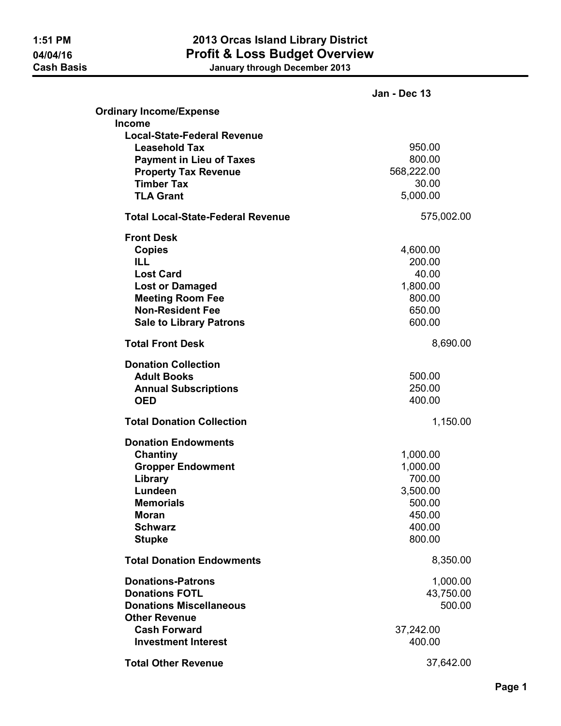| January through December 2013 |  |
|-------------------------------|--|
|-------------------------------|--|

|                                          | Jan - Dec 13 |
|------------------------------------------|--------------|
| <b>Ordinary Income/Expense</b>           |              |
| Income                                   |              |
| <b>Local-State-Federal Revenue</b>       |              |
| <b>Leasehold Tax</b>                     | 950.00       |
| <b>Payment in Lieu of Taxes</b>          | 800.00       |
| <b>Property Tax Revenue</b>              | 568,222.00   |
| <b>Timber Tax</b>                        | 30.00        |
| <b>TLA Grant</b>                         | 5,000.00     |
| <b>Total Local-State-Federal Revenue</b> | 575,002.00   |
| <b>Front Desk</b>                        |              |
| <b>Copies</b>                            | 4,600.00     |
| <b>ILL</b>                               | 200.00       |
| <b>Lost Card</b>                         | 40.00        |
| <b>Lost or Damaged</b>                   | 1,800.00     |
| <b>Meeting Room Fee</b>                  | 800.00       |
| <b>Non-Resident Fee</b>                  | 650.00       |
| <b>Sale to Library Patrons</b>           | 600.00       |
| <b>Total Front Desk</b>                  | 8,690.00     |
| <b>Donation Collection</b>               |              |
| <b>Adult Books</b>                       | 500.00       |
| <b>Annual Subscriptions</b>              | 250.00       |
| <b>OED</b>                               | 400.00       |
| <b>Total Donation Collection</b>         | 1,150.00     |
| <b>Donation Endowments</b>               |              |
| Chantiny                                 | 1,000.00     |
| <b>Gropper Endowment</b>                 | 1,000.00     |
| Library                                  | 700.00       |
| Lundeen                                  | 3,500.00     |
| <b>Memorials</b>                         | 500.00       |
| <b>Moran</b>                             | 450.00       |
| <b>Schwarz</b>                           | 400.00       |
| <b>Stupke</b>                            | 800.00       |
| <b>Total Donation Endowments</b>         | 8,350.00     |
| <b>Donations-Patrons</b>                 | 1,000.00     |
| <b>Donations FOTL</b>                    | 43,750.00    |
| <b>Donations Miscellaneous</b>           | 500.00       |
| <b>Other Revenue</b>                     |              |
| <b>Cash Forward</b>                      | 37,242.00    |
| <b>Investment Interest</b>               | 400.00       |
| <b>Total Other Revenue</b>               | 37,642.00    |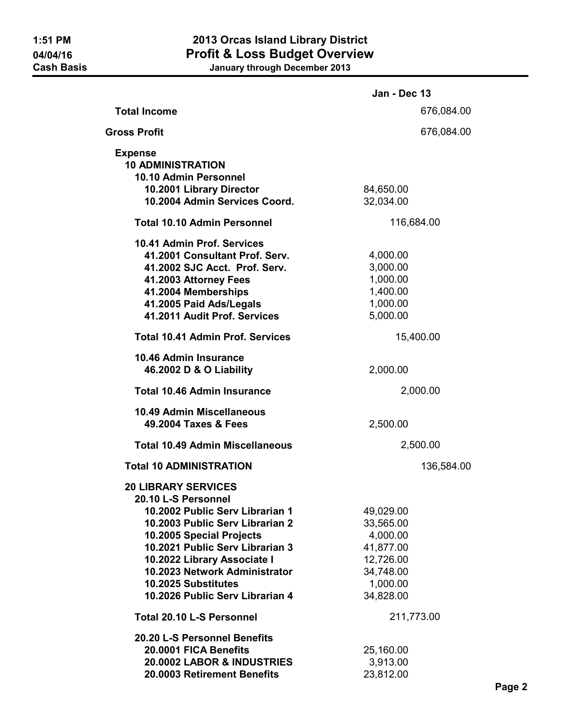|                                                           | <b>Jan - Dec 13</b> |  |
|-----------------------------------------------------------|---------------------|--|
| <b>Total Income</b>                                       | 676,084.00          |  |
| Gross Profit                                              | 676,084.00          |  |
| <b>Expense</b>                                            |                     |  |
| <b>10 ADMINISTRATION</b>                                  |                     |  |
| 10.10 Admin Personnel                                     |                     |  |
| 10.2001 Library Director<br>10.2004 Admin Services Coord. | 84,650.00           |  |
|                                                           | 32,034.00           |  |
| <b>Total 10.10 Admin Personnel</b>                        | 116,684.00          |  |
| 10.41 Admin Prof. Services                                |                     |  |
| 41.2001 Consultant Prof. Serv.                            | 4,000.00            |  |
| 41.2002 SJC Acct. Prof. Serv.                             | 3,000.00            |  |
| 41.2003 Attorney Fees                                     | 1,000.00            |  |
| 41.2004 Memberships                                       | 1,400.00            |  |
| 41.2005 Paid Ads/Legals                                   | 1,000.00            |  |
| 41.2011 Audit Prof. Services                              | 5,000.00            |  |
| <b>Total 10.41 Admin Prof. Services</b>                   | 15,400.00           |  |
| 10.46 Admin Insurance                                     |                     |  |
| 46.2002 D & O Liability                                   | 2,000.00            |  |
| <b>Total 10.46 Admin Insurance</b>                        | 2,000.00            |  |
|                                                           |                     |  |
| <b>10.49 Admin Miscellaneous</b><br>49.2004 Taxes & Fees  | 2,500.00            |  |
|                                                           |                     |  |
| <b>Total 10.49 Admin Miscellaneous</b>                    | 2,500.00            |  |
| <b>Total 10 ADMINISTRATION</b>                            | 136,584.00          |  |
| <b>20 LIBRARY SERVICES</b>                                |                     |  |
| 20.10 L-S Personnel                                       |                     |  |
| 10.2002 Public Serv Librarian 1                           | 49,029.00           |  |
| 10.2003 Public Serv Librarian 2                           | 33,565.00           |  |
| 10.2005 Special Projects                                  | 4,000.00            |  |
| 10.2021 Public Serv Librarian 3                           | 41,877.00           |  |
| 10.2022 Library Associate I                               | 12,726.00           |  |
| 10.2023 Network Administrator                             | 34,748.00           |  |
| 10.2025 Substitutes                                       | 1,000.00            |  |
| 10.2026 Public Serv Librarian 4                           | 34,828.00           |  |
| <b>Total 20.10 L-S Personnel</b>                          | 211,773.00          |  |
| 20.20 L-S Personnel Benefits                              |                     |  |
| 20.0001 FICA Benefits                                     | 25,160.00           |  |
| 20.0002 LABOR & INDUSTRIES                                | 3,913.00            |  |
| 20.0003 Retirement Benefits                               | 23,812.00           |  |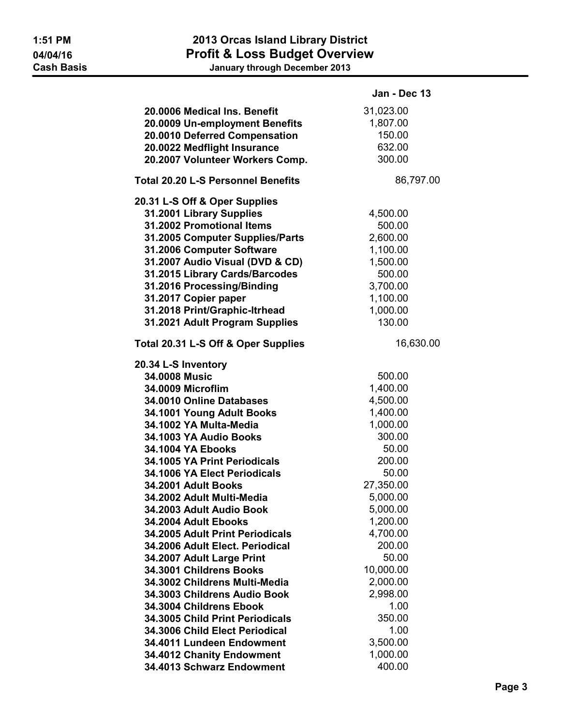|                                           | Jan - Dec 13 |
|-------------------------------------------|--------------|
| 20.0006 Medical Ins. Benefit              | 31,023.00    |
| 20.0009 Un-employment Benefits            | 1,807.00     |
| 20.0010 Deferred Compensation             | 150.00       |
| 20.0022 Medflight Insurance               | 632.00       |
| 20.2007 Volunteer Workers Comp.           | 300.00       |
|                                           |              |
| <b>Total 20.20 L-S Personnel Benefits</b> | 86,797.00    |
| 20.31 L-S Off & Oper Supplies             |              |
| 31.2001 Library Supplies                  | 4,500.00     |
| 31.2002 Promotional Items                 | 500.00       |
| 31.2005 Computer Supplies/Parts           | 2,600.00     |
| 31.2006 Computer Software                 | 1,100.00     |
| 31.2007 Audio Visual (DVD & CD)           | 1,500.00     |
| 31.2015 Library Cards/Barcodes            | 500.00       |
| 31.2016 Processing/Binding                | 3,700.00     |
| 31.2017 Copier paper                      | 1,100.00     |
| 31.2018 Print/Graphic-Itrhead             | 1,000.00     |
| 31.2021 Adult Program Supplies            | 130.00       |
| Total 20.31 L-S Off & Oper Supplies       | 16,630.00    |
| 20.34 L-S Inventory                       |              |
| 34.0008 Music                             | 500.00       |
| 34.0009 Microflim                         | 1,400.00     |
| 34.0010 Online Databases                  | 4,500.00     |
| 34.1001 Young Adult Books                 | 1,400.00     |
| 34.1002 YA Multa-Media                    | 1,000.00     |
| 34.1003 YA Audio Books                    | 300.00       |
| 34.1004 YA Ebooks                         | 50.00        |
| 34.1005 YA Print Periodicals              | 200.00       |
| 34.1006 YA Elect Periodicals              | 50.00        |
| 34.2001 Adult Books                       | 27,350.00    |
| 34.2002 Adult Multi-Media                 | 5,000.00     |
| 34.2003 Adult Audio Book                  | 5,000.00     |
| 34.2004 Adult Ebooks                      | 1,200.00     |
| 34.2005 Adult Print Periodicals           | 4,700.00     |
| 34.2006 Adult Elect. Periodical           | 200.00       |
| 34.2007 Adult Large Print                 | 50.00        |
| 34.3001 Childrens Books                   | 10,000.00    |
| 34.3002 Childrens Multi-Media             | 2,000.00     |
| 34.3003 Childrens Audio Book              | 2,998.00     |
| 34.3004 Childrens Ebook                   | 1.00         |
| 34.3005 Child Print Periodicals           | 350.00       |
| 34.3006 Child Elect Periodical            | 1.00         |
| 34.4011 Lundeen Endowment                 | 3,500.00     |
| 34.4012 Chanity Endowment                 | 1,000.00     |
| 34.4013 Schwarz Endowment                 | 400.00       |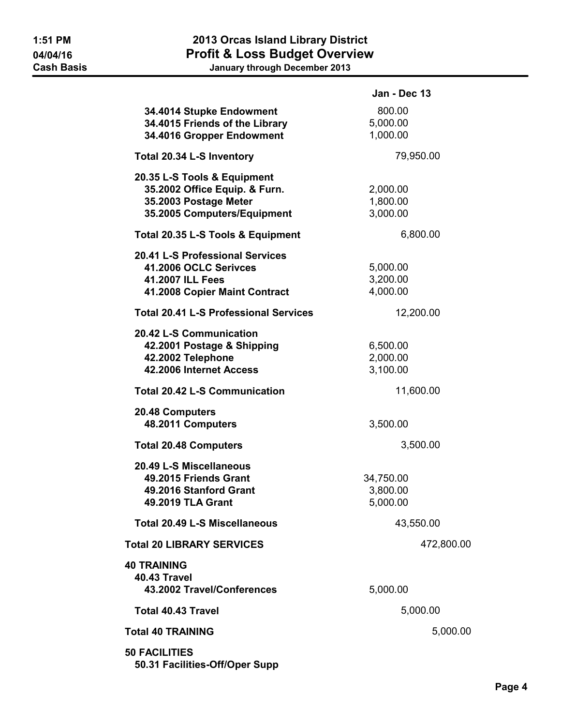|                                                                                                                      | Jan - Dec 13                      |
|----------------------------------------------------------------------------------------------------------------------|-----------------------------------|
| 34.4014 Stupke Endowment<br>34.4015 Friends of the Library<br>34.4016 Gropper Endowment                              | 800.00<br>5,000.00<br>1,000.00    |
| Total 20.34 L-S Inventory                                                                                            | 79,950.00                         |
| 20.35 L-S Tools & Equipment<br>35.2002 Office Equip. & Furn.<br>35.2003 Postage Meter<br>35.2005 Computers/Equipment | 2,000.00<br>1,800.00<br>3,000.00  |
| Total 20.35 L-S Tools & Equipment                                                                                    | 6,800.00                          |
| 20.41 L-S Professional Services<br>41.2006 OCLC Serivces<br>41.2007 ILL Fees<br>41.2008 Copier Maint Contract        | 5,000.00<br>3,200.00<br>4,000.00  |
| <b>Total 20.41 L-S Professional Services</b>                                                                         | 12,200.00                         |
| 20.42 L-S Communication<br>42.2001 Postage & Shipping<br>42.2002 Telephone<br>42.2006 Internet Access                | 6,500.00<br>2,000.00<br>3,100.00  |
| <b>Total 20.42 L-S Communication</b>                                                                                 | 11,600.00                         |
| 20.48 Computers<br>48.2011 Computers                                                                                 | 3,500.00                          |
| <b>Total 20.48 Computers</b>                                                                                         | 3,500.00                          |
| 20.49 L-S Miscellaneous<br>49.2015 Friends Grant<br>49.2016 Stanford Grant<br>49.2019 TLA Grant                      | 34,750.00<br>3,800.00<br>5,000.00 |
| <b>Total 20.49 L-S Miscellaneous</b>                                                                                 | 43,550.00                         |
| <b>Total 20 LIBRARY SERVICES</b>                                                                                     | 472,800.00                        |
| 40 TRAINING<br><b>40.43 Travel</b><br>43.2002 Travel/Conferences                                                     | 5,000.00                          |
| <b>Total 40.43 Travel</b>                                                                                            | 5,000.00                          |
| <b>Total 40 TRAINING</b>                                                                                             | 5,000.00                          |
| <b>50 FACILITIES</b><br>50.31 Facilities-Off/Oper Supp                                                               |                                   |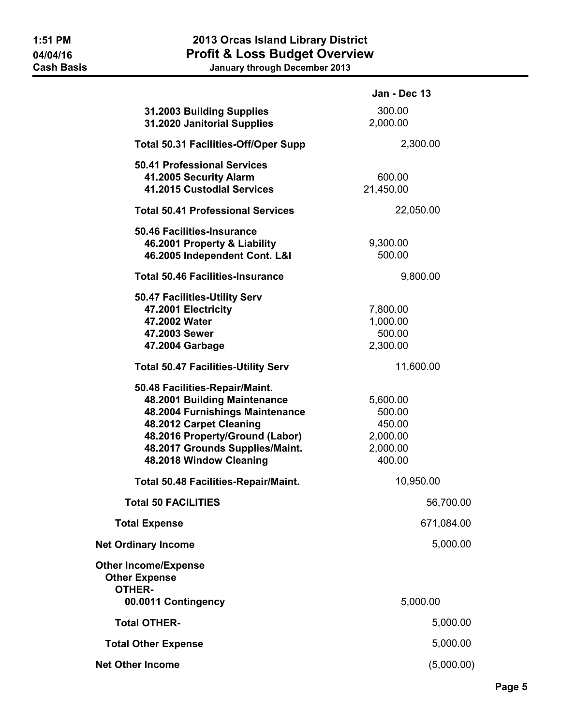|                                                                                                                                                                                                                               | Jan - Dec 13                                                   |
|-------------------------------------------------------------------------------------------------------------------------------------------------------------------------------------------------------------------------------|----------------------------------------------------------------|
| 31.2003 Building Supplies<br>31.2020 Janitorial Supplies                                                                                                                                                                      | 300.00<br>2,000.00                                             |
| <b>Total 50.31 Facilities-Off/Oper Supp</b>                                                                                                                                                                                   | 2,300.00                                                       |
| <b>50.41 Professional Services</b><br>41.2005 Security Alarm<br>41.2015 Custodial Services                                                                                                                                    | 600.00<br>21,450.00                                            |
| <b>Total 50.41 Professional Services</b>                                                                                                                                                                                      | 22,050.00                                                      |
| 50.46 Facilities-Insurance<br>46.2001 Property & Liability<br>46.2005 Independent Cont. L&I                                                                                                                                   | 9,300.00<br>500.00                                             |
| <b>Total 50.46 Facilities-Insurance</b>                                                                                                                                                                                       | 9,800.00                                                       |
| 50.47 Facilities-Utility Serv<br>47.2001 Electricity<br>47.2002 Water<br>47.2003 Sewer<br>47.2004 Garbage                                                                                                                     | 7,800.00<br>1,000.00<br>500.00<br>2,300.00                     |
| <b>Total 50.47 Facilities-Utility Serv</b>                                                                                                                                                                                    | 11,600.00                                                      |
| 50.48 Facilities-Repair/Maint.<br>48.2001 Building Maintenance<br>48.2004 Furnishings Maintenance<br>48.2012 Carpet Cleaning<br>48.2016 Property/Ground (Labor)<br>48.2017 Grounds Supplies/Maint.<br>48.2018 Window Cleaning | 5,600.00<br>500.00<br>450.00<br>2,000.00<br>2,000.00<br>400.00 |
| Total 50.48 Facilities-Repair/Maint.                                                                                                                                                                                          | 10,950.00                                                      |
| <b>Total 50 FACILITIES</b>                                                                                                                                                                                                    | 56,700.00                                                      |
| <b>Total Expense</b>                                                                                                                                                                                                          | 671,084.00                                                     |
| <b>Net Ordinary Income</b>                                                                                                                                                                                                    | 5,000.00                                                       |
| <b>Other Income/Expense</b><br><b>Other Expense</b><br><b>OTHER-</b><br>00.0011 Contingency                                                                                                                                   | 5,000.00                                                       |
| <b>Total OTHER-</b>                                                                                                                                                                                                           | 5,000.00                                                       |
| <b>Total Other Expense</b>                                                                                                                                                                                                    | 5,000.00                                                       |
| <b>Net Other Income</b>                                                                                                                                                                                                       | (5,000.00)                                                     |
|                                                                                                                                                                                                                               |                                                                |